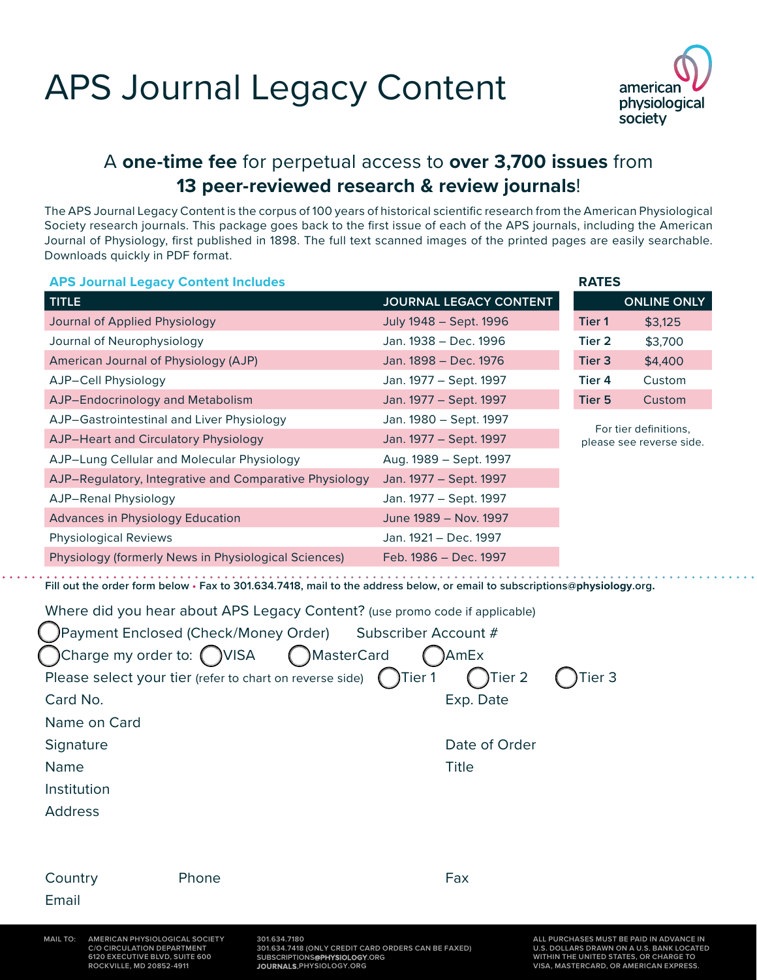# APS Journal Legacy Content



**RATES**

### A **one-time fee** for perpetual access to **over 3,700 issues** from **13 peer-reviewed research & review journals**!

The APS Journal Legacy Content is the corpus of 100 years of historical scientific research from the American Physiological Society research journals. This package goes back to the first issue of each of the APS journals, including the American Journal of Physiology, first published in 1898. The full text scanned images of the printed pages are easily searchable. Downloads quickly in PDF format.

#### **APS Journal Legacy Content Includes**

| <b>TITLE</b>                                           | JOURNAL LEGACY CONTENT |                                                   | <b>ONLINE ONLY</b> |
|--------------------------------------------------------|------------------------|---------------------------------------------------|--------------------|
| Journal of Applied Physiology                          | July 1948 - Sept. 1996 | Tier 1                                            | \$3,125            |
| Journal of Neurophysiology                             | Jan. 1938 – Dec. 1996  | Tier 2                                            | \$3,700            |
| American Journal of Physiology (AJP)                   | Jan. 1898 – Dec. 1976  | Tier 3                                            | \$4,400            |
| AJP-Cell Physiology                                    | Jan. 1977 – Sept. 1997 | Tier 4                                            | Custom             |
| AJP-Endocrinology and Metabolism                       | Jan. 1977 – Sept. 1997 | Tier 5                                            | Custom             |
| AJP-Gastrointestinal and Liver Physiology              | Jan. 1980 – Sept. 1997 | For tier definitions.<br>please see reverse side. |                    |
| AJP-Heart and Circulatory Physiology                   | Jan. 1977 – Sept. 1997 |                                                   |                    |
| AJP-Lung Cellular and Molecular Physiology             | Aug. 1989 - Sept. 1997 |                                                   |                    |
| AJP-Regulatory, Integrative and Comparative Physiology | Jan. 1977 – Sept. 1997 |                                                   |                    |
| AJP-Renal Physiology                                   | Jan. 1977 - Sept. 1997 |                                                   |                    |
| <b>Advances in Physiology Education</b>                | June 1989 - Nov. 1997  |                                                   |                    |
| <b>Physiological Reviews</b>                           | Jan. 1921 – Dec. 1997  |                                                   |                    |
| Physiology (formerly News in Physiological Sciences)   | Feb. 1986 - Dec. 1997  |                                                   |                    |

**Fill out the order form below • Fax to 301.634.7418, mail to the address below, or email to [subscriptions@](mailto:subscriptions%40the-aps.org?subject=Journal%20Legacy%20Content)physiology.org.**

Where did you hear about APS Legacy Content? (use promo code if applicable) Payment Enclosed (Check/Money Order) Subscriber Account # ICharge my order to: ( )VISA ( )MasterCard ( )AmEx Please select your tier (refer to chart on reverse side)  $($  Tier 1  $($  Tier 2  $($  Tier 3 Card No. **Exp. Date** Name on Card Signature **Date of Order** Date of Order Name **Name** Title Institution Address Country Phone Phone Fax Email

**ROCKVILLE, MD 20852-4911**

**C/O CIRCULATION DEPARTMENT U.S. DOLLARS DRAWN ON A U.S. BANK LOCATED 6120 EXECUTIVE BLVD, SUITE 600 WITHIN THE UNITED STATES, OR CHARGE TO 3**

**MAIL TO: AMERICAN PHYSIOLOGICAL SOCIETY ALL PURCHASES MUST BE PAID IN ADVANCE IN VISA, MASTERCARD, OR AMERICAN EXPRESS.**